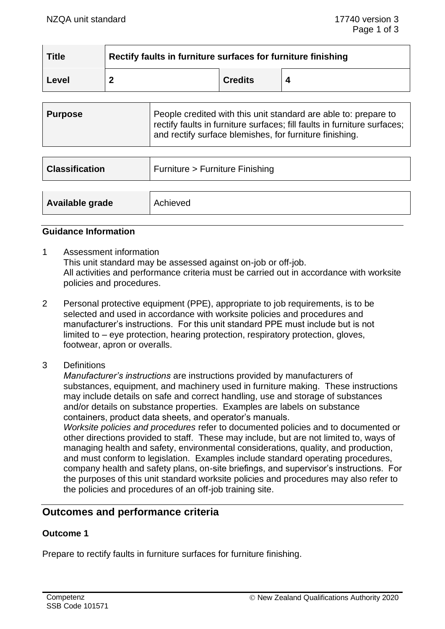| <b>Title</b> | Rectify faults in furniture surfaces for furniture finishing |                |  |
|--------------|--------------------------------------------------------------|----------------|--|
| Level        |                                                              | <b>Credits</b> |  |

| <b>Purpose</b> | People credited with this unit standard are able to: prepare to<br>rectify faults in furniture surfaces; fill faults in furniture surfaces; |
|----------------|---------------------------------------------------------------------------------------------------------------------------------------------|
|                | and rectify surface blemishes, for furniture finishing.                                                                                     |

| <b>Classification</b> | Furniture > Furniture Finishing |
|-----------------------|---------------------------------|
| Available grade       | Achieved                        |

#### **Guidance Information**

- 1 Assessment information This unit standard may be assessed against on-job or off-job. All activities and performance criteria must be carried out in accordance with worksite policies and procedures.
- 2 Personal protective equipment (PPE), appropriate to job requirements, is to be selected and used in accordance with worksite policies and procedures and manufacturer's instructions. For this unit standard PPE must include but is not limited to – eye protection, hearing protection, respiratory protection, gloves, footwear, apron or overalls.
- 3 Definitions

*Manufacturer's instructions* are instructions provided by manufacturers of substances, equipment, and machinery used in furniture making. These instructions may include details on safe and correct handling, use and storage of substances and/or details on substance properties. Examples are labels on substance containers, product data sheets, and operator's manuals.

*Worksite policies and procedures* refer to documented policies and to documented or other directions provided to staff. These may include, but are not limited to, ways of managing health and safety, environmental considerations, quality, and production, and must conform to legislation. Examples include standard operating procedures, company health and safety plans, on-site briefings, and supervisor's instructions. For the purposes of this unit standard worksite policies and procedures may also refer to the policies and procedures of an off-job training site.

## **Outcomes and performance criteria**

#### **Outcome 1**

Prepare to rectify faults in furniture surfaces for furniture finishing.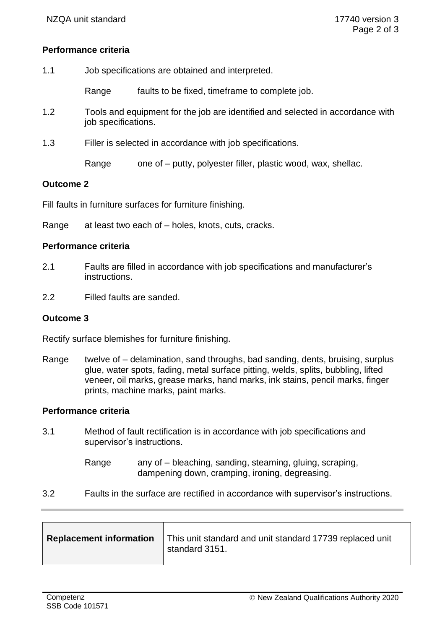#### **Performance criteria**

| 1.1 | Job specifications are obtained and interpreted. |                                                                                |
|-----|--------------------------------------------------|--------------------------------------------------------------------------------|
|     | Range                                            | faults to be fixed, timeframe to complete job.                                 |
| 1.2 | job specifications.                              | Tools and equipment for the job are identified and selected in accordance with |
| 1.3 |                                                  | Filler is selected in accordance with job specifications.                      |
|     | Range                                            | one of – putty, polyester filler, plastic wood, wax, shellac.                  |

#### **Outcome 2**

Fill faults in furniture surfaces for furniture finishing.

Range at least two each of – holes, knots, cuts, cracks.

#### **Performance criteria**

- 2.1 Faults are filled in accordance with job specifications and manufacturer's instructions.
- 2.2 Filled faults are sanded.

#### **Outcome 3**

Rectify surface blemishes for furniture finishing.

Range twelve of – delamination, sand throughs, bad sanding, dents, bruising, surplus glue, water spots, fading, metal surface pitting, welds, splits, bubbling, lifted veneer, oil marks, grease marks, hand marks, ink stains, pencil marks, finger prints, machine marks, paint marks.

## **Performance criteria**

3.1 Method of fault rectification is in accordance with job specifications and supervisor's instructions.

> Range any of – bleaching, sanding, steaming, gluing, scraping, dampening down, cramping, ironing, degreasing.

3.2 Faults in the surface are rectified in accordance with supervisor's instructions.

| <b>Replacement information</b> | This unit standard and unit standard 17739 replaced unit<br>standard 3151. |
|--------------------------------|----------------------------------------------------------------------------|
|                                |                                                                            |